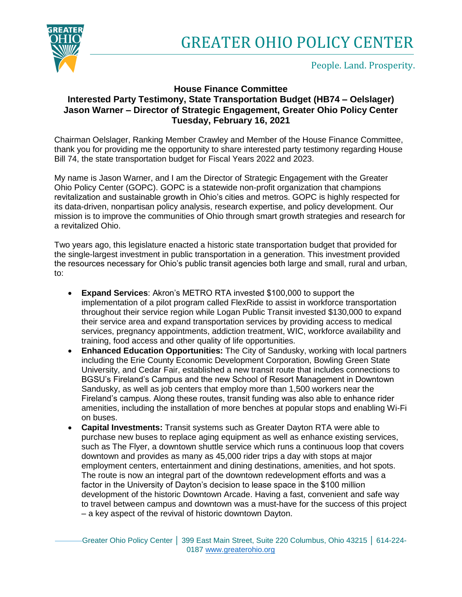

People. Land. Prosperity.

## **House Finance Committee Interested Party Testimony, State Transportation Budget (HB74 – Oelslager) Jason Warner – Director of Strategic Engagement, Greater Ohio Policy Center Tuesday, February 16, 2021**

Chairman Oelslager, Ranking Member Crawley and Member of the House Finance Committee, thank you for providing me the opportunity to share interested party testimony regarding House Bill 74, the state transportation budget for Fiscal Years 2022 and 2023.

My name is Jason Warner, and I am the Director of Strategic Engagement with the Greater Ohio Policy Center (GOPC). GOPC is a statewide non-profit organization that champions revitalization and sustainable growth in Ohio's cities and metros. GOPC is highly respected for its data-driven, nonpartisan policy analysis, research expertise, and policy development. Our mission is to improve the communities of Ohio through smart growth strategies and research for a revitalized Ohio.

Two years ago, this legislature enacted a historic state transportation budget that provided for the single-largest investment in public transportation in a generation. This investment provided the resources necessary for Ohio's public transit agencies both large and small, rural and urban, to:

- **Expand Services**: Akron's METRO RTA invested \$100,000 to support the implementation of a pilot program called FlexRide to assist in workforce transportation throughout their service region while Logan Public Transit invested \$130,000 to expand their service area and expand transportation services by providing access to medical services, pregnancy appointments, addiction treatment, WIC, workforce availability and training, food access and other quality of life opportunities.
- **Enhanced Education Opportunities:** The City of Sandusky, working with local partners including the Erie County Economic Development Corporation, Bowling Green State University, and Cedar Fair, established a new transit route that includes connections to BGSU's Fireland's Campus and the new School of Resort Management in Downtown Sandusky, as well as job centers that employ more than 1,500 workers near the Fireland's campus. Along these routes, transit funding was also able to enhance rider amenities, including the installation of more benches at popular stops and enabling Wi-Fi on buses.
- **Capital Investments:** Transit systems such as Greater Dayton RTA were able to purchase new buses to replace aging equipment as well as enhance existing services, such as The Flyer, a downtown shuttle service which runs a continuous loop that covers downtown and provides as many as 45,000 rider trips a day with stops at major employment centers, entertainment and dining destinations, amenities, and hot spots. The route is now an integral part of the downtown redevelopment efforts and was a factor in the University of Dayton's decision to lease space in the \$100 million development of the historic Downtown Arcade. Having a fast, convenient and safe way to travel between campus and downtown was a must-have for the success of this project – a key aspect of the revival of historic downtown Dayton.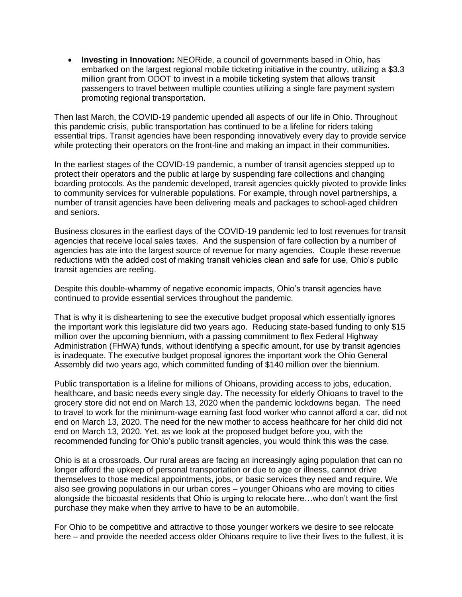• **Investing in Innovation:** NEORide, a council of governments based in Ohio, has embarked on the largest regional mobile ticketing initiative in the country, utilizing a \$3.3 million grant from ODOT to invest in a mobile ticketing system that allows transit passengers to travel between multiple counties utilizing a single fare payment system promoting regional transportation.

Then last March, the COVID-19 pandemic upended all aspects of our life in Ohio. Throughout this pandemic crisis, public transportation has continued to be a lifeline for riders taking essential trips. Transit agencies have been responding innovatively every day to provide service while protecting their operators on the front-line and making an impact in their communities.

In the earliest stages of the COVID-19 pandemic, a number of transit agencies stepped up to protect their operators and the public at large by suspending fare collections and changing boarding protocols. As the pandemic developed, transit agencies quickly pivoted to provide links to community services for vulnerable populations. For example, through novel partnerships, a number of transit agencies have been delivering meals and packages to school-aged children and seniors.

Business closures in the earliest days of the COVID-19 pandemic led to lost revenues for transit agencies that receive local sales taxes. And the suspension of fare collection by a number of agencies has ate into the largest source of revenue for many agencies. Couple these revenue reductions with the added cost of making transit vehicles clean and safe for use, Ohio's public transit agencies are reeling.

Despite this double-whammy of negative economic impacts, Ohio's transit agencies have continued to provide essential services throughout the pandemic.

That is why it is disheartening to see the executive budget proposal which essentially ignores the important work this legislature did two years ago. Reducing state-based funding to only \$15 million over the upcoming biennium, with a passing commitment to flex Federal Highway Administration (FHWA) funds, without identifying a specific amount, for use by transit agencies is inadequate. The executive budget proposal ignores the important work the Ohio General Assembly did two years ago, which committed funding of \$140 million over the biennium.

Public transportation is a lifeline for millions of Ohioans, providing access to jobs, education, healthcare, and basic needs every single day. The necessity for elderly Ohioans to travel to the grocery store did not end on March 13, 2020 when the pandemic lockdowns began. The need to travel to work for the minimum-wage earning fast food worker who cannot afford a car, did not end on March 13, 2020. The need for the new mother to access healthcare for her child did not end on March 13, 2020. Yet, as we look at the proposed budget before you, with the recommended funding for Ohio's public transit agencies, you would think this was the case.

Ohio is at a crossroads. Our rural areas are facing an increasingly aging population that can no longer afford the upkeep of personal transportation or due to age or illness, cannot drive themselves to those medical appointments, jobs, or basic services they need and require. We also see growing populations in our urban cores – younger Ohioans who are moving to cities alongside the bicoastal residents that Ohio is urging to relocate here…who don't want the first purchase they make when they arrive to have to be an automobile.

For Ohio to be competitive and attractive to those younger workers we desire to see relocate here – and provide the needed access older Ohioans require to live their lives to the fullest, it is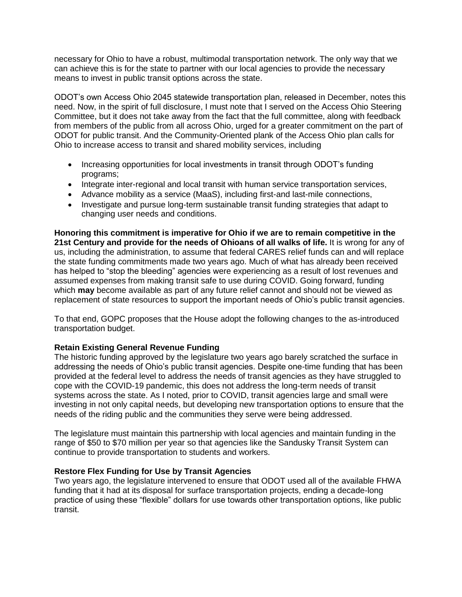necessary for Ohio to have a robust, multimodal transportation network. The only way that we can achieve this is for the state to partner with our local agencies to provide the necessary means to invest in public transit options across the state.

ODOT's own Access Ohio 2045 statewide transportation plan, released in December, notes this need. Now, in the spirit of full disclosure, I must note that I served on the Access Ohio Steering Committee, but it does not take away from the fact that the full committee, along with feedback from members of the public from all across Ohio, urged for a greater commitment on the part of ODOT for public transit. And the Community-Oriented plank of the Access Ohio plan calls for Ohio to increase access to transit and shared mobility services, including

- Increasing opportunities for local investments in transit through ODOT's funding programs;
- Integrate inter-regional and local transit with human service transportation services,
- Advance mobility as a service (MaaS), including first-and last-mile connections,
- Investigate and pursue long-term sustainable transit funding strategies that adapt to changing user needs and conditions.

**Honoring this commitment is imperative for Ohio if we are to remain competitive in the 21st Century and provide for the needs of Ohioans of all walks of life.** It is wrong for any of us, including the administration, to assume that federal CARES relief funds can and will replace the state funding commitments made two years ago. Much of what has already been received has helped to "stop the bleeding" agencies were experiencing as a result of lost revenues and assumed expenses from making transit safe to use during COVID. Going forward, funding which **may** become available as part of any future relief cannot and should not be viewed as replacement of state resources to support the important needs of Ohio's public transit agencies.

To that end, GOPC proposes that the House adopt the following changes to the as-introduced transportation budget.

## **Retain Existing General Revenue Funding**

The historic funding approved by the legislature two years ago barely scratched the surface in addressing the needs of Ohio's public transit agencies. Despite one-time funding that has been provided at the federal level to address the needs of transit agencies as they have struggled to cope with the COVID-19 pandemic, this does not address the long-term needs of transit systems across the state. As I noted, prior to COVID, transit agencies large and small were investing in not only capital needs, but developing new transportation options to ensure that the needs of the riding public and the communities they serve were being addressed.

The legislature must maintain this partnership with local agencies and maintain funding in the range of \$50 to \$70 million per year so that agencies like the Sandusky Transit System can continue to provide transportation to students and workers.

## **Restore Flex Funding for Use by Transit Agencies**

Two years ago, the legislature intervened to ensure that ODOT used all of the available FHWA funding that it had at its disposal for surface transportation projects, ending a decade-long practice of using these "flexible" dollars for use towards other transportation options, like public transit.